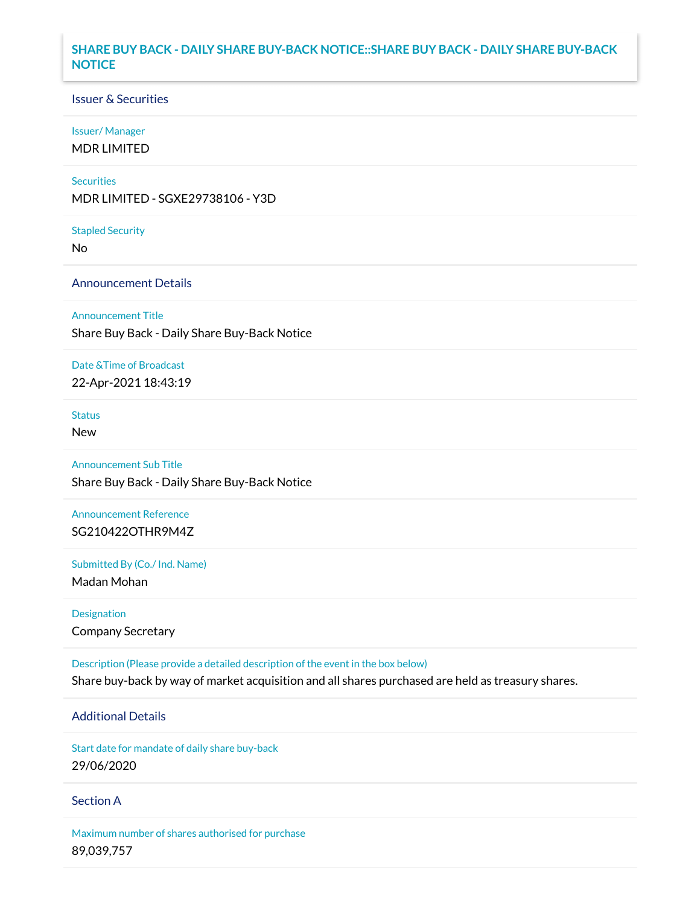# **SHARE BUY BACK - DAILY SHARE BUY-BACK NOTICE::SHARE BUY BACK - DAILY SHARE BUY-BACK NOTICE**

### Issuer & Securities

#### Issuer/ Manager

MDR LIMITED

#### **Securities**

MDR LIMITED - SGXE29738106 - Y3D

#### Stapled Security

No

# Announcement Details

#### Announcement Title

Share Buy Back - Daily Share Buy-Back Notice

## Date &Time of Broadcast

22-Apr-2021 18:43:19

# **Status**

New

# Announcement Sub Title

Share Buy Back - Daily Share Buy-Back Notice

# Announcement Reference SG210422OTHR9M4Z

Submitted By (Co./ Ind. Name)

Madan Mohan

# Designation Company Secretary

Description (Please provide a detailed description of the event in the box below) Share buy-back by way of market acquisition and all shares purchased are held as treasury shares.

# Additional Details

Start date for mandate of daily share buy-back

# 29/06/2020

## Section A

Maximum number of shares authorised for purchase 89,039,757